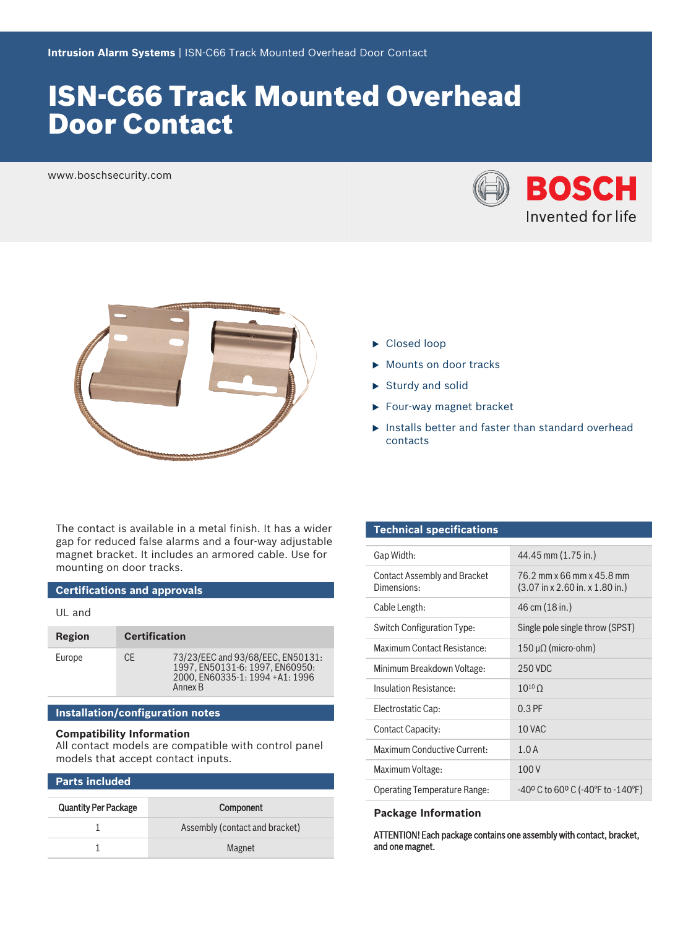# ISN‑C66 Track Mounted Overhead Door Contact

www.boschsecurity.com





The contact is available in a metal finish. It has a wider gap for reduced false alarms and a four-way adjustable magnet bracket. It includes an armored cable. Use for mounting on door tracks.

## **Certifications and approvals**

UL and

| Region | <b>Certification</b> |                                                                                                                    |
|--------|----------------------|--------------------------------------------------------------------------------------------------------------------|
| Europe | CF.                  | 73/23/EEC and 93/68/EEC, EN50131:<br>1997. EN50131-6: 1997. EN60950:<br>2000. EN60335-1: 1994 +A1: 1996<br>Annex B |

### **Installation/configuration notes**

#### **Compatibility Information**

All contact models are compatible with control panel models that accept contact inputs.

#### **Parts included**

| <b>Quantity Per Package</b> | Component                      |
|-----------------------------|--------------------------------|
|                             | Assembly (contact and bracket) |
|                             | Magnet                         |

- $\blacktriangleright$  Closed loop
- $\blacktriangleright$  Mounts on door tracks
- $\triangleright$  Sturdy and solid
- $\blacktriangleright$  Four-way magnet bracket
- $\blacktriangleright$  Installs better and faster than standard overhead contacts

### **Technical specifications**

| Gap Width:                                  | 44.45 mm (1.75 in.)                                                                      |
|---------------------------------------------|------------------------------------------------------------------------------------------|
| Contact Assembly and Bracket<br>Dimensions: | 76.2 mm x 66 mm x 45.8 mm<br>$(3.07 \text{ in } x 2.60 \text{ in. } x 1.80 \text{ in.})$ |
| Cable Length:                               | 46 cm (18 in.)                                                                           |
| Switch Configuration Type:                  | Single pole single throw (SPST)                                                          |
| Maximum Contact Resistance:                 | 150 μ $\Omega$ (micro-ohm)                                                               |
| Minimum Breakdown Voltage:                  | 250 VDC                                                                                  |
| Insulation Resistance:                      | $10^{10}$ $\Omega$                                                                       |
| Electrostatic Cap:                          | $0.3$ PF                                                                                 |
| Contact Capacity:                           | 10 VAC                                                                                   |
| Maximum Conductive Current:                 | 1.0A                                                                                     |
| Maximum Voltage:                            | 100 V                                                                                    |
| <b>Operating Temperature Range:</b>         | $-40^{\circ}$ C to 60° C (-40°F to -140°F)                                               |

#### **Package Information**

ATTENTION! Each package contains one assembly with contact, bracket, and one magnet.